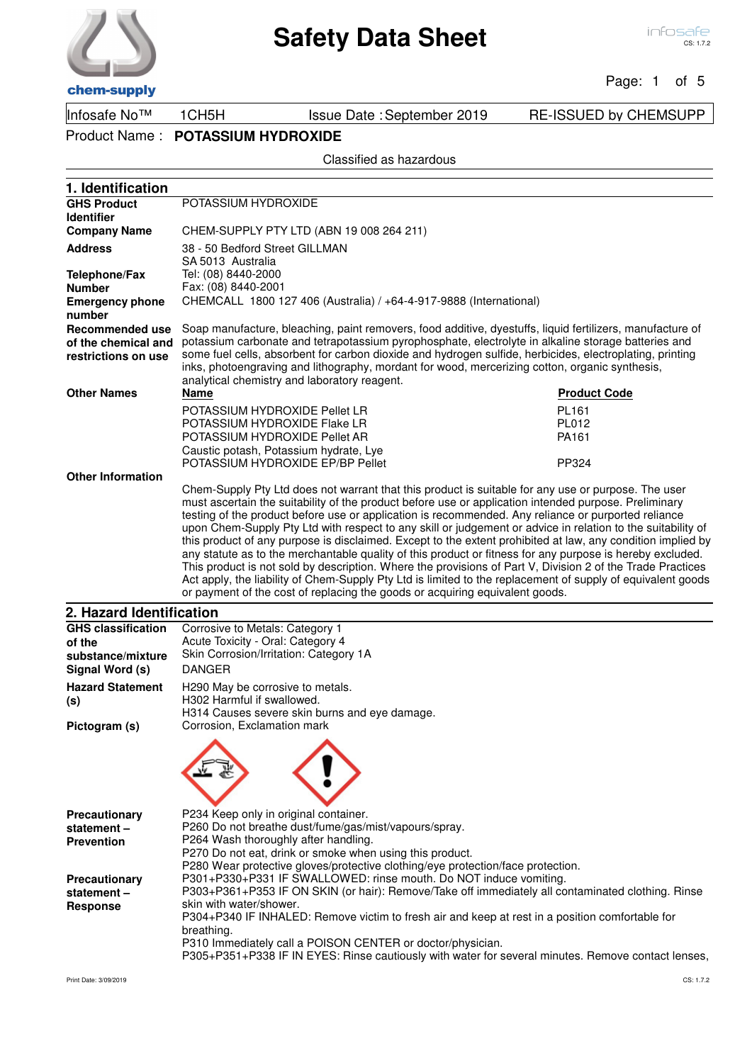Page: 1 of 5

Infosafe No™ 1CH5H Issue Date :September 2019 RE-ISSUED by CHEMSUPP

Product Name : **POTASSIUM HYDROXIDE**

Classified as hazardous

| 1. Identification                                                    |                                                                                                                                                                                                                                                                                                                                                                                                                                                                                                                                                                                                                                                                                                                                                                                                                                                                      |                     |  |
|----------------------------------------------------------------------|----------------------------------------------------------------------------------------------------------------------------------------------------------------------------------------------------------------------------------------------------------------------------------------------------------------------------------------------------------------------------------------------------------------------------------------------------------------------------------------------------------------------------------------------------------------------------------------------------------------------------------------------------------------------------------------------------------------------------------------------------------------------------------------------------------------------------------------------------------------------|---------------------|--|
| <b>GHS Product</b>                                                   | POTASSIUM HYDROXIDE                                                                                                                                                                                                                                                                                                                                                                                                                                                                                                                                                                                                                                                                                                                                                                                                                                                  |                     |  |
| <b>Identifier</b>                                                    |                                                                                                                                                                                                                                                                                                                                                                                                                                                                                                                                                                                                                                                                                                                                                                                                                                                                      |                     |  |
| <b>Company Name</b>                                                  | CHEM-SUPPLY PTY LTD (ABN 19 008 264 211)                                                                                                                                                                                                                                                                                                                                                                                                                                                                                                                                                                                                                                                                                                                                                                                                                             |                     |  |
| <b>Address</b>                                                       | 38 - 50 Bedford Street GILLMAN                                                                                                                                                                                                                                                                                                                                                                                                                                                                                                                                                                                                                                                                                                                                                                                                                                       |                     |  |
|                                                                      | SA 5013 Australia                                                                                                                                                                                                                                                                                                                                                                                                                                                                                                                                                                                                                                                                                                                                                                                                                                                    |                     |  |
| <b>Telephone/Fax</b>                                                 | Tel: (08) 8440-2000                                                                                                                                                                                                                                                                                                                                                                                                                                                                                                                                                                                                                                                                                                                                                                                                                                                  |                     |  |
| <b>Number</b>                                                        | Fax: (08) 8440-2001                                                                                                                                                                                                                                                                                                                                                                                                                                                                                                                                                                                                                                                                                                                                                                                                                                                  |                     |  |
| <b>Emergency phone</b><br>number                                     | CHEMCALL 1800 127 406 (Australia) / +64-4-917-9888 (International)                                                                                                                                                                                                                                                                                                                                                                                                                                                                                                                                                                                                                                                                                                                                                                                                   |                     |  |
| <b>Recommended use</b><br>of the chemical and<br>restrictions on use | Soap manufacture, bleaching, paint removers, food additive, dyestuffs, liquid fertilizers, manufacture of<br>potassium carbonate and tetrapotassium pyrophosphate, electrolyte in alkaline storage batteries and<br>some fuel cells, absorbent for carbon dioxide and hydrogen sulfide, herbicides, electroplating, printing<br>inks, photoengraving and lithography, mordant for wood, mercerizing cotton, organic synthesis,                                                                                                                                                                                                                                                                                                                                                                                                                                       |                     |  |
|                                                                      | analytical chemistry and laboratory reagent.                                                                                                                                                                                                                                                                                                                                                                                                                                                                                                                                                                                                                                                                                                                                                                                                                         |                     |  |
| <b>Other Names</b>                                                   | <b>Name</b>                                                                                                                                                                                                                                                                                                                                                                                                                                                                                                                                                                                                                                                                                                                                                                                                                                                          | <b>Product Code</b> |  |
|                                                                      | POTASSIUM HYDROXIDE Pellet LR                                                                                                                                                                                                                                                                                                                                                                                                                                                                                                                                                                                                                                                                                                                                                                                                                                        | PL161               |  |
|                                                                      | POTASSIUM HYDROXIDE Flake LR                                                                                                                                                                                                                                                                                                                                                                                                                                                                                                                                                                                                                                                                                                                                                                                                                                         | PL012               |  |
|                                                                      | POTASSIUM HYDROXIDE Pellet AR                                                                                                                                                                                                                                                                                                                                                                                                                                                                                                                                                                                                                                                                                                                                                                                                                                        | PA161               |  |
|                                                                      | Caustic potash, Potassium hydrate, Lye                                                                                                                                                                                                                                                                                                                                                                                                                                                                                                                                                                                                                                                                                                                                                                                                                               |                     |  |
|                                                                      | POTASSIUM HYDROXIDE EP/BP Pellet                                                                                                                                                                                                                                                                                                                                                                                                                                                                                                                                                                                                                                                                                                                                                                                                                                     | PP324               |  |
| <b>Other Information</b>                                             | Chem-Supply Pty Ltd does not warrant that this product is suitable for any use or purpose. The user                                                                                                                                                                                                                                                                                                                                                                                                                                                                                                                                                                                                                                                                                                                                                                  |                     |  |
|                                                                      | must ascertain the suitability of the product before use or application intended purpose. Preliminary<br>testing of the product before use or application is recommended. Any reliance or purported reliance<br>upon Chem-Supply Pty Ltd with respect to any skill or judgement or advice in relation to the suitability of<br>this product of any purpose is disclaimed. Except to the extent prohibited at law, any condition implied by<br>any statute as to the merchantable quality of this product or fitness for any purpose is hereby excluded.<br>This product is not sold by description. Where the provisions of Part V, Division 2 of the Trade Practices<br>Act apply, the liability of Chem-Supply Pty Ltd is limited to the replacement of supply of equivalent goods<br>or payment of the cost of replacing the goods or acquiring equivalent goods. |                     |  |
| 2. Hazard Identification                                             |                                                                                                                                                                                                                                                                                                                                                                                                                                                                                                                                                                                                                                                                                                                                                                                                                                                                      |                     |  |
| <b>GHS classification</b>                                            | Corrosive to Metals: Category 1                                                                                                                                                                                                                                                                                                                                                                                                                                                                                                                                                                                                                                                                                                                                                                                                                                      |                     |  |
| of the                                                               | Acute Toxicity - Oral: Category 4                                                                                                                                                                                                                                                                                                                                                                                                                                                                                                                                                                                                                                                                                                                                                                                                                                    |                     |  |
| substance/mixture                                                    | Skin Corrosion/Irritation: Category 1A                                                                                                                                                                                                                                                                                                                                                                                                                                                                                                                                                                                                                                                                                                                                                                                                                               |                     |  |
| Signal Word (s)                                                      | <b>DANGER</b>                                                                                                                                                                                                                                                                                                                                                                                                                                                                                                                                                                                                                                                                                                                                                                                                                                                        |                     |  |
| <b>Hazard Statement</b>                                              | H290 May be corrosive to metals.                                                                                                                                                                                                                                                                                                                                                                                                                                                                                                                                                                                                                                                                                                                                                                                                                                     |                     |  |
| (s)                                                                  | H302 Harmful if swallowed.                                                                                                                                                                                                                                                                                                                                                                                                                                                                                                                                                                                                                                                                                                                                                                                                                                           |                     |  |
|                                                                      | H314 Causes severe skin burns and eye damage.                                                                                                                                                                                                                                                                                                                                                                                                                                                                                                                                                                                                                                                                                                                                                                                                                        |                     |  |
| Pictogram (s)                                                        | Corrosion, Exclamation mark                                                                                                                                                                                                                                                                                                                                                                                                                                                                                                                                                                                                                                                                                                                                                                                                                                          |                     |  |
|                                                                      |                                                                                                                                                                                                                                                                                                                                                                                                                                                                                                                                                                                                                                                                                                                                                                                                                                                                      |                     |  |
| Precautionary                                                        | P234 Keep only in original container.                                                                                                                                                                                                                                                                                                                                                                                                                                                                                                                                                                                                                                                                                                                                                                                                                                |                     |  |
| statement-                                                           | P260 Do not breathe dust/fume/gas/mist/vapours/spray.                                                                                                                                                                                                                                                                                                                                                                                                                                                                                                                                                                                                                                                                                                                                                                                                                |                     |  |
| <b>Prevention</b>                                                    | P264 Wash thoroughly after handling.                                                                                                                                                                                                                                                                                                                                                                                                                                                                                                                                                                                                                                                                                                                                                                                                                                 |                     |  |
|                                                                      | P270 Do not eat, drink or smoke when using this product.                                                                                                                                                                                                                                                                                                                                                                                                                                                                                                                                                                                                                                                                                                                                                                                                             |                     |  |
|                                                                      | P280 Wear protective gloves/protective clothing/eye protection/face protection.<br>P301+P330+P331 IF SWALLOWED: rinse mouth. Do NOT induce vomiting.                                                                                                                                                                                                                                                                                                                                                                                                                                                                                                                                                                                                                                                                                                                 |                     |  |
| Precautionary<br>statement-                                          | P303+P361+P353 IF ON SKIN (or hair): Remove/Take off immediately all contaminated clothing. Rinse                                                                                                                                                                                                                                                                                                                                                                                                                                                                                                                                                                                                                                                                                                                                                                    |                     |  |

P303+P361+P353 IF ON SKIN (or hair): Remove/Take off immediately all contaminated clothing. Rinse skin with water/shower.

P304+P340 IF INHALED: Remove victim to fresh air and keep at rest in a position comfortable for breathing.

P310 Immediately call a POISON CENTER or doctor/physician.

P305+P351+P338 IF IN EYES: Rinse cautiously with water for several minutes. Remove contact lenses,

**Response**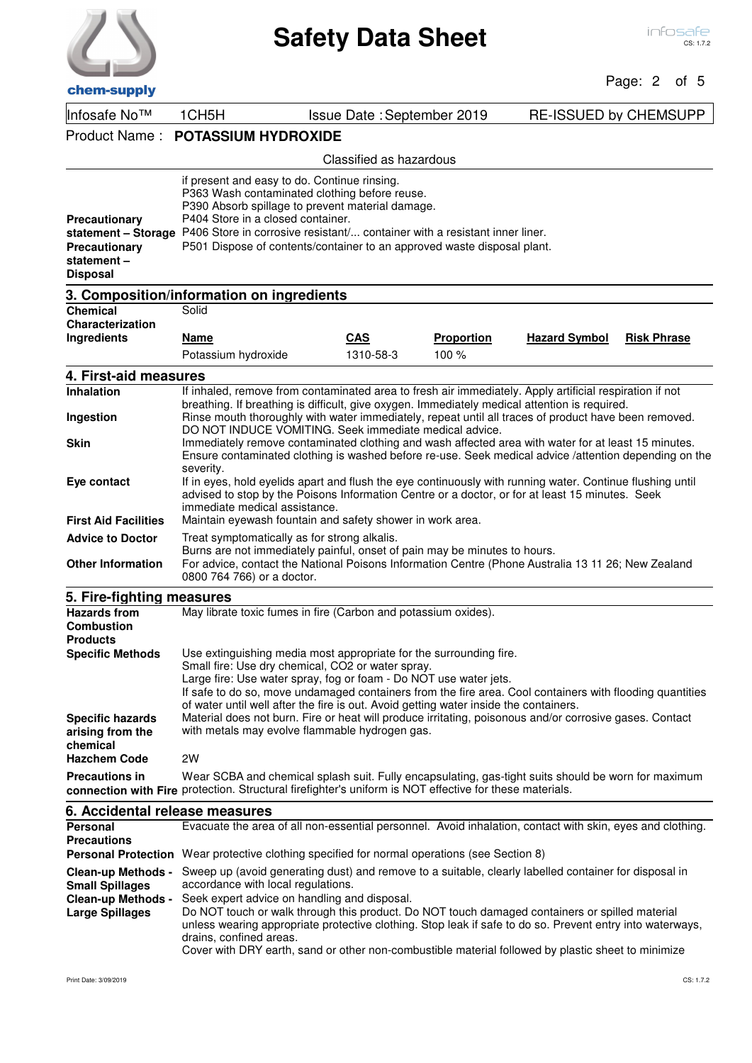

Page: 2 of 5

| спспгэирргу                                                                                                |                                                                                                                                                                                                                                                                                                                                                                                                                                                                                                                                             |                                   |                   |                              |                    |
|------------------------------------------------------------------------------------------------------------|---------------------------------------------------------------------------------------------------------------------------------------------------------------------------------------------------------------------------------------------------------------------------------------------------------------------------------------------------------------------------------------------------------------------------------------------------------------------------------------------------------------------------------------------|-----------------------------------|-------------------|------------------------------|--------------------|
| Infosafe No™                                                                                               | 1CH <sub>5</sub> H                                                                                                                                                                                                                                                                                                                                                                                                                                                                                                                          | <b>Issue Date: September 2019</b> |                   | <b>RE-ISSUED by CHEMSUPP</b> |                    |
| Product Name:                                                                                              | <b>POTASSIUM HYDROXIDE</b>                                                                                                                                                                                                                                                                                                                                                                                                                                                                                                                  |                                   |                   |                              |                    |
|                                                                                                            |                                                                                                                                                                                                                                                                                                                                                                                                                                                                                                                                             | Classified as hazardous           |                   |                              |                    |
| Precautionary<br>Precautionary<br>statement-<br><b>Disposal</b>                                            | if present and easy to do. Continue rinsing.<br>P363 Wash contaminated clothing before reuse.<br>P390 Absorb spillage to prevent material damage.<br>P404 Store in a closed container.<br>statement - Storage P406 Store in corrosive resistant/ container with a resistant inner liner.<br>P501 Dispose of contents/container to an approved waste disposal plant.                                                                                                                                                                         |                                   |                   |                              |                    |
|                                                                                                            | 3. Composition/information on ingredients                                                                                                                                                                                                                                                                                                                                                                                                                                                                                                   |                                   |                   |                              |                    |
| <b>Chemical</b><br>Characterization                                                                        | Solid                                                                                                                                                                                                                                                                                                                                                                                                                                                                                                                                       |                                   |                   |                              |                    |
| Ingredients                                                                                                | <u>Name</u>                                                                                                                                                                                                                                                                                                                                                                                                                                                                                                                                 | <b>CAS</b>                        | <b>Proportion</b> | <b>Hazard Symbol</b>         | <b>Risk Phrase</b> |
|                                                                                                            | Potassium hydroxide                                                                                                                                                                                                                                                                                                                                                                                                                                                                                                                         | 1310-58-3                         | 100%              |                              |                    |
| 4. First-aid measures                                                                                      |                                                                                                                                                                                                                                                                                                                                                                                                                                                                                                                                             |                                   |                   |                              |                    |
| Inhalation                                                                                                 | If inhaled, remove from contaminated area to fresh air immediately. Apply artificial respiration if not                                                                                                                                                                                                                                                                                                                                                                                                                                     |                                   |                   |                              |                    |
| Ingestion                                                                                                  | breathing. If breathing is difficult, give oxygen. Immediately medical attention is required.<br>Rinse mouth thoroughly with water immediately, repeat until all traces of product have been removed.<br>DO NOT INDUCE VOMITING. Seek immediate medical advice.                                                                                                                                                                                                                                                                             |                                   |                   |                              |                    |
| Skin                                                                                                       | Immediately remove contaminated clothing and wash affected area with water for at least 15 minutes.<br>Ensure contaminated clothing is washed before re-use. Seek medical advice /attention depending on the<br>severity.                                                                                                                                                                                                                                                                                                                   |                                   |                   |                              |                    |
| Eye contact                                                                                                | If in eyes, hold eyelids apart and flush the eye continuously with running water. Continue flushing until<br>advised to stop by the Poisons Information Centre or a doctor, or for at least 15 minutes. Seek<br>immediate medical assistance.                                                                                                                                                                                                                                                                                               |                                   |                   |                              |                    |
| <b>First Aid Facilities</b>                                                                                | Maintain eyewash fountain and safety shower in work area.                                                                                                                                                                                                                                                                                                                                                                                                                                                                                   |                                   |                   |                              |                    |
| <b>Advice to Doctor</b>                                                                                    | Treat symptomatically as for strong alkalis.                                                                                                                                                                                                                                                                                                                                                                                                                                                                                                |                                   |                   |                              |                    |
| <b>Other Information</b>                                                                                   | Burns are not immediately painful, onset of pain may be minutes to hours.<br>For advice, contact the National Poisons Information Centre (Phone Australia 13 11 26; New Zealand<br>0800 764 766) or a doctor.                                                                                                                                                                                                                                                                                                                               |                                   |                   |                              |                    |
| 5. Fire-fighting measures                                                                                  |                                                                                                                                                                                                                                                                                                                                                                                                                                                                                                                                             |                                   |                   |                              |                    |
| <b>Hazards from</b><br><b>Combustion</b><br><b>Products</b>                                                | May librate toxic fumes in fire (Carbon and potassium oxides).                                                                                                                                                                                                                                                                                                                                                                                                                                                                              |                                   |                   |                              |                    |
| <b>Specific Methods</b>                                                                                    | Use extinguishing media most appropriate for the surrounding fire.<br>Small fire: Use dry chemical, CO2 or water spray.<br>Large fire: Use water spray, fog or foam - Do NOT use water jets.<br>If safe to do so, move undamaged containers from the fire area. Cool containers with flooding quantities<br>of water until well after the fire is out. Avoid getting water inside the containers.                                                                                                                                           |                                   |                   |                              |                    |
| <b>Specific hazards</b><br>arising from the<br>chemical<br><b>Hazchem Code</b>                             | Material does not burn. Fire or heat will produce irritating, poisonous and/or corrosive gases. Contact<br>with metals may evolve flammable hydrogen gas.<br>2W                                                                                                                                                                                                                                                                                                                                                                             |                                   |                   |                              |                    |
| <b>Precautions in</b>                                                                                      | Wear SCBA and chemical splash suit. Fully encapsulating, gas-tight suits should be worn for maximum                                                                                                                                                                                                                                                                                                                                                                                                                                         |                                   |                   |                              |                    |
|                                                                                                            | connection with Fire protection. Structural firefighter's uniform is NOT effective for these materials.                                                                                                                                                                                                                                                                                                                                                                                                                                     |                                   |                   |                              |                    |
| 6. Accidental release measures                                                                             |                                                                                                                                                                                                                                                                                                                                                                                                                                                                                                                                             |                                   |                   |                              |                    |
| <b>Personal</b><br><b>Precautions</b>                                                                      | Evacuate the area of all non-essential personnel. Avoid inhalation, contact with skin, eyes and clothing.<br><b>Personal Protection</b> Wear protective clothing specified for normal operations (see Section 8)                                                                                                                                                                                                                                                                                                                            |                                   |                   |                              |                    |
| <b>Clean-up Methods -</b><br><b>Small Spillages</b><br><b>Clean-up Methods -</b><br><b>Large Spillages</b> | Sweep up (avoid generating dust) and remove to a suitable, clearly labelled container for disposal in<br>accordance with local regulations.<br>Seek expert advice on handling and disposal.<br>Do NOT touch or walk through this product. Do NOT touch damaged containers or spilled material<br>unless wearing appropriate protective clothing. Stop leak if safe to do so. Prevent entry into waterways,<br>drains, confined areas.<br>Cover with DRY earth, sand or other non-combustible material followed by plastic sheet to minimize |                                   |                   |                              |                    |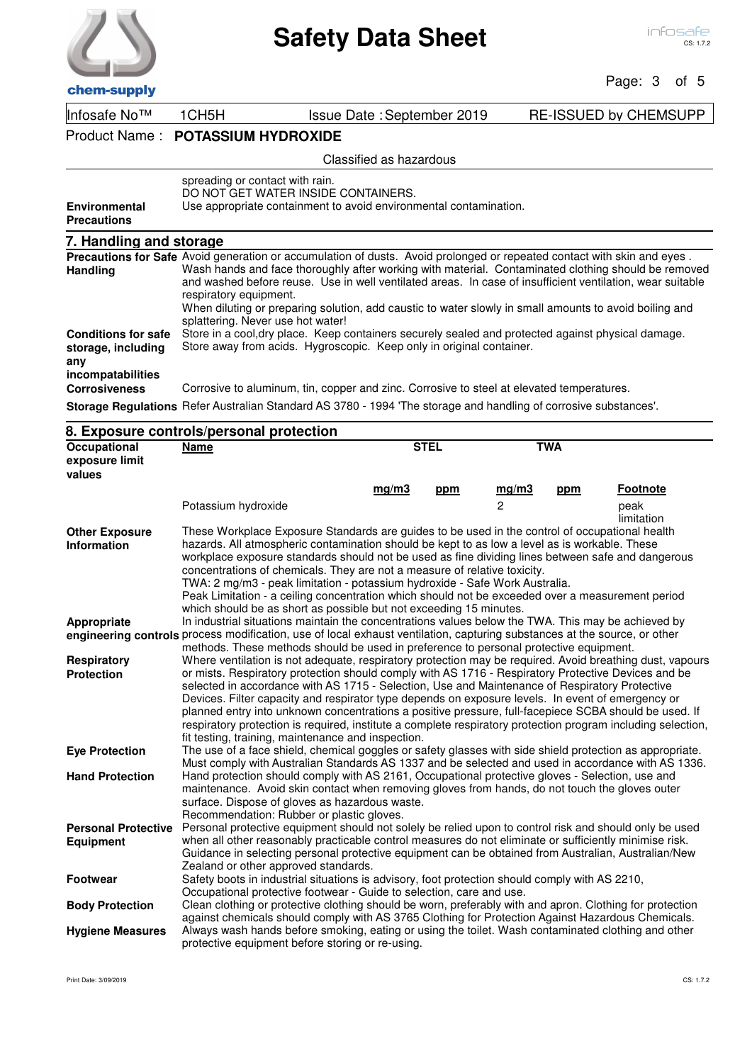

## **Safety Data Sheet**

## Page: 3 of 5

Infosafe No™ 1CH5H Issue Date :September 2019 RE-ISSUED by CHEMSUPP

Product Name : **POTASSIUM HYDROXIDE**

## Classified as hazardous

| <b>Environmental</b><br><b>Precautions</b>                                                                                                                                                                                                                                                  | spreading or contact with rain.<br>DO NOT GET WATER INSIDE CONTAINERS.<br>Use appropriate containment to avoid environmental contamination.                                                                                                                                                                                                                                                                                                                                                                          |
|---------------------------------------------------------------------------------------------------------------------------------------------------------------------------------------------------------------------------------------------------------------------------------------------|----------------------------------------------------------------------------------------------------------------------------------------------------------------------------------------------------------------------------------------------------------------------------------------------------------------------------------------------------------------------------------------------------------------------------------------------------------------------------------------------------------------------|
| 7. Handling and storage                                                                                                                                                                                                                                                                     |                                                                                                                                                                                                                                                                                                                                                                                                                                                                                                                      |
| Handling                                                                                                                                                                                                                                                                                    | Precautions for Safe Avoid generation or accumulation of dusts. Avoid prolonged or repeated contact with skin and eyes.<br>Wash hands and face thoroughly after working with material. Contaminated clothing should be removed<br>and washed before reuse. Use in well ventilated areas. In case of insufficient ventilation, wear suitable<br>respiratory equipment.<br>When diluting or preparing solution, add caustic to water slowly in small amounts to avoid boiling and<br>splattering. Never use hot water! |
| <b>Conditions for safe</b><br>storage, including<br>any<br>incompatabilities                                                                                                                                                                                                                | Store in a cool, dry place. Keep containers securely sealed and protected against physical damage.<br>Store away from acids. Hygroscopic. Keep only in original container.                                                                                                                                                                                                                                                                                                                                           |
| <b>Corrosiveness</b><br>$0.1 - 0.1 - 0.1 - 0.01 - 0.01 - 0.01 - 0.01 - 0.01 - 0.01 - 0.01 - 0.01 - 0.01 - 0.01 - 0.01 - 0.01 - 0.01 - 0.01 - 0.01 - 0.01 - 0.01 - 0.01 - 0.01 - 0.01 - 0.01 - 0.01 - 0.01 - 0.01 - 0.01 - 0.01 - 0.01 - 0.01 - 0.01 - 0.01 - 0.01 - 0.01 - 0.01 - 0.01 - 0$ | Corrosive to aluminum, tin, copper and zinc. Corrosive to steel at elevated temperatures.<br>Defer Australian Otanderd AC 0700 - 1004 The starses and beneficial of corrective substances                                                                                                                                                                                                                                                                                                                            |

**Storage Regulations** Refer Australian Standard AS 3780 - 1994 'The storage and handling of corrosive substances'.

|                                       | 8. Exposure controls/personal protection                                                                                                                                                              |       |             |                |            |                    |
|---------------------------------------|-------------------------------------------------------------------------------------------------------------------------------------------------------------------------------------------------------|-------|-------------|----------------|------------|--------------------|
| <b>Occupational</b><br>exposure limit | <b>Name</b>                                                                                                                                                                                           |       | <b>STEL</b> |                | <b>TWA</b> |                    |
| values                                |                                                                                                                                                                                                       |       |             |                |            |                    |
|                                       |                                                                                                                                                                                                       | mq/m3 | ppm         | mq/m3          | ppm        | <b>Footnote</b>    |
|                                       | Potassium hydroxide                                                                                                                                                                                   |       |             | $\mathfrak{p}$ |            | peak<br>limitation |
| <b>Other Exposure</b>                 | These Workplace Exposure Standards are guides to be used in the control of occupational health                                                                                                        |       |             |                |            |                    |
| <b>Information</b>                    | hazards. All atmospheric contamination should be kept to as low a level as is workable. These                                                                                                         |       |             |                |            |                    |
|                                       | workplace exposure standards should not be used as fine dividing lines between safe and dangerous                                                                                                     |       |             |                |            |                    |
|                                       | concentrations of chemicals. They are not a measure of relative toxicity.                                                                                                                             |       |             |                |            |                    |
|                                       | TWA: 2 mg/m3 - peak limitation - potassium hydroxide - Safe Work Australia.                                                                                                                           |       |             |                |            |                    |
|                                       | Peak Limitation - a ceiling concentration which should not be exceeded over a measurement period                                                                                                      |       |             |                |            |                    |
|                                       | which should be as short as possible but not exceeding 15 minutes.                                                                                                                                    |       |             |                |            |                    |
| <b>Appropriate</b>                    | In industrial situations maintain the concentrations values below the TWA. This may be achieved by                                                                                                    |       |             |                |            |                    |
|                                       | engineering controls process modification, use of local exhaust ventilation, capturing substances at the source, or other                                                                             |       |             |                |            |                    |
|                                       | methods. These methods should be used in preference to personal protective equipment.                                                                                                                 |       |             |                |            |                    |
| <b>Respiratory</b>                    | Where ventilation is not adequate, respiratory protection may be required. Avoid breathing dust, vapours                                                                                              |       |             |                |            |                    |
| <b>Protection</b>                     | or mists. Respiratory protection should comply with AS 1716 - Respiratory Protective Devices and be                                                                                                   |       |             |                |            |                    |
|                                       | selected in accordance with AS 1715 - Selection, Use and Maintenance of Respiratory Protective                                                                                                        |       |             |                |            |                    |
|                                       | Devices. Filter capacity and respirator type depends on exposure levels. In event of emergency or                                                                                                     |       |             |                |            |                    |
|                                       | planned entry into unknown concentrations a positive pressure, full-facepiece SCBA should be used. If                                                                                                 |       |             |                |            |                    |
|                                       | respiratory protection is required, institute a complete respiratory protection program including selection,                                                                                          |       |             |                |            |                    |
|                                       | fit testing, training, maintenance and inspection.                                                                                                                                                    |       |             |                |            |                    |
| <b>Eye Protection</b>                 | The use of a face shield, chemical goggles or safety glasses with side shield protection as appropriate.                                                                                              |       |             |                |            |                    |
| <b>Hand Protection</b>                | Must comply with Australian Standards AS 1337 and be selected and used in accordance with AS 1336.<br>Hand protection should comply with AS 2161, Occupational protective gloves - Selection, use and |       |             |                |            |                    |
|                                       |                                                                                                                                                                                                       |       |             |                |            |                    |
|                                       | maintenance. Avoid skin contact when removing gloves from hands, do not touch the gloves outer<br>surface. Dispose of gloves as hazardous waste.                                                      |       |             |                |            |                    |
|                                       | Recommendation: Rubber or plastic gloves.                                                                                                                                                             |       |             |                |            |                    |
| <b>Personal Protective</b>            | Personal protective equipment should not solely be relied upon to control risk and should only be used                                                                                                |       |             |                |            |                    |
| <b>Equipment</b>                      | when all other reasonably practicable control measures do not eliminate or sufficiently minimise risk.                                                                                                |       |             |                |            |                    |
|                                       | Guidance in selecting personal protective equipment can be obtained from Australian, Australian/New                                                                                                   |       |             |                |            |                    |
|                                       | Zealand or other approved standards.                                                                                                                                                                  |       |             |                |            |                    |
| <b>Footwear</b>                       | Safety boots in industrial situations is advisory, foot protection should comply with AS 2210,                                                                                                        |       |             |                |            |                    |
|                                       | Occupational protective footwear - Guide to selection, care and use.                                                                                                                                  |       |             |                |            |                    |
| <b>Body Protection</b>                | Clean clothing or protective clothing should be worn, preferably with and apron. Clothing for protection                                                                                              |       |             |                |            |                    |
|                                       | against chemicals should comply with AS 3765 Clothing for Protection Against Hazardous Chemicals.                                                                                                     |       |             |                |            |                    |
| <b>Hygiene Measures</b>               | Always wash hands before smoking, eating or using the toilet. Wash contaminated clothing and other                                                                                                    |       |             |                |            |                    |
|                                       | protective equipment before storing or re-using.                                                                                                                                                      |       |             |                |            |                    |
|                                       |                                                                                                                                                                                                       |       |             |                |            |                    |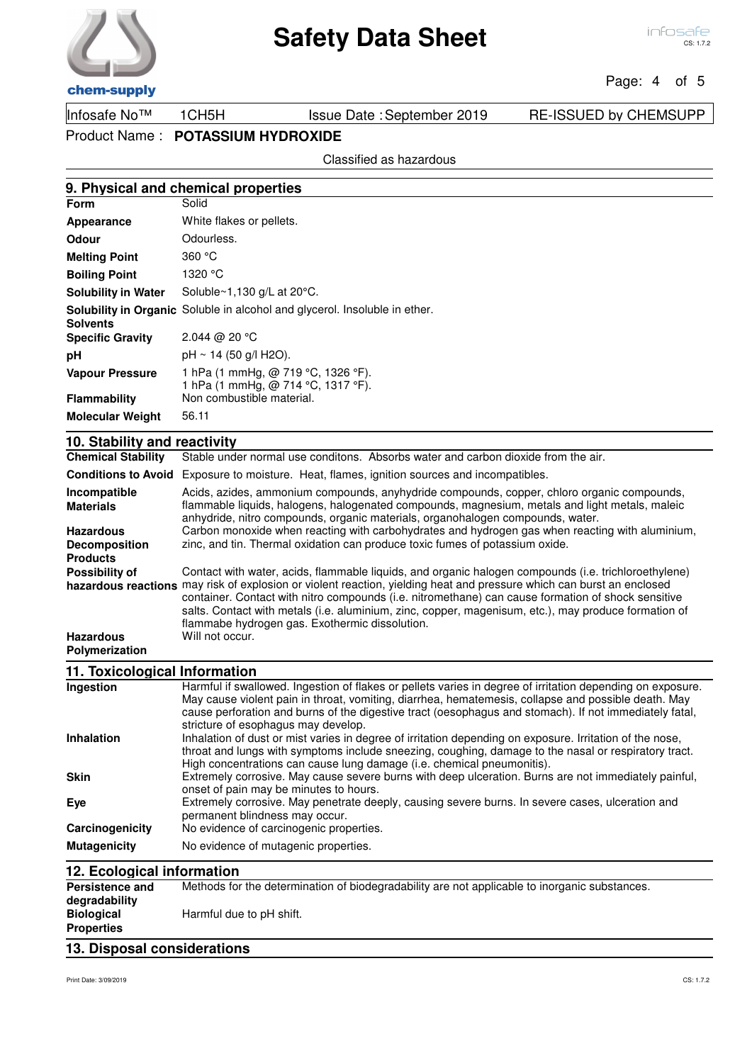## Page: 4 of 5

chem-supply

Infosafe No™ 1CH5H Issue Date :September 2019 RE-ISSUED by CHEMSUPP

Product Name : **POTASSIUM HYDROXIDE**

Classified as hazardous

### **9. Physical and chemical properties Form**

| Appearance                 | White flakes or pellets.                                                          |
|----------------------------|-----------------------------------------------------------------------------------|
| Odour                      | Odourless.                                                                        |
| <b>Melting Point</b>       | 360 °C                                                                            |
| <b>Boiling Point</b>       | 1320 °C                                                                           |
| <b>Solubility in Water</b> | Soluble~1,130 g/L at 20°C.                                                        |
|                            | <b>Solubility in Organic</b> Soluble in alcohol and glycerol. Insoluble in ether. |
| <b>Solvents</b>            |                                                                                   |
| <b>Specific Gravity</b>    | 2.044 @ 20 °C                                                                     |
| рH                         | $pH \sim 14$ (50 g/l H2O).                                                        |
| <b>Vapour Pressure</b>     | 1 hPa (1 mmHg, @ 719 °C, 1326 °F).                                                |
|                            | 1 hPa (1 mmHg, @ 714 °C, 1317 °F).                                                |
| <b>Flammability</b>        | Non combustible material.                                                         |
| <b>Molecular Weight</b>    | 56.11                                                                             |
|                            |                                                                                   |

## **10. Stability and reactivity**

| <b>Chemical Stability</b>                | Stable under normal use conditons. Absorbs water and carbon dioxide from the air.                                                                                                                                                                                                                                                                                                     |
|------------------------------------------|---------------------------------------------------------------------------------------------------------------------------------------------------------------------------------------------------------------------------------------------------------------------------------------------------------------------------------------------------------------------------------------|
| <b>Conditions to Avoid</b>               | Exposure to moisture. Heat, flames, ignition sources and incompatibles.                                                                                                                                                                                                                                                                                                               |
| Incompatible<br><b>Materials</b>         | Acids, azides, ammonium compounds, anyhydride compounds, copper, chloro organic compounds,<br>flammable liquids, halogens, halogenated compounds, magnesium, metals and light metals, maleic<br>anhydride, nitro compounds, organic materials, organohalogen compounds, water.                                                                                                        |
| <b>Hazardous</b><br><b>Decomposition</b> | Carbon monoxide when reacting with carbohydrates and hydrogen gas when reacting with aluminium,<br>zinc, and tin. Thermal oxidation can produce toxic fumes of potassium oxide.                                                                                                                                                                                                       |
| <b>Products</b>                          |                                                                                                                                                                                                                                                                                                                                                                                       |
| Possibility of                           | Contact with water, acids, flammable liquids, and organic halogen compounds (i.e. trichloroethylene)                                                                                                                                                                                                                                                                                  |
|                                          | hazardous reactions may risk of explosion or violent reaction, yielding heat and pressure which can burst an enclosed<br>container. Contact with nitro compounds (i.e. nitromethane) can cause formation of shock sensitive<br>salts. Contact with metals (i.e. aluminium, zinc, copper, magenisum, etc.), may produce formation of<br>flammabe hydrogen gas. Exothermic dissolution. |
| <b>Hazardous</b><br>Polymerization       | Will not occur.                                                                                                                                                                                                                                                                                                                                                                       |
| 11. Toxicological Information            |                                                                                                                                                                                                                                                                                                                                                                                       |
| Ingestion                                | Harmful if swallowed. Ingestion of flakes or pellets varies in degree of irritation depending on exposure.<br>May cause violent pain in throat, vomiting, diarrhea, hematemesis, collapse and possible death. May<br>cause perforation and burns of the digestive tract (oesophagus and stomach). If not immediately fatal.                                                           |

|                     | cause perforation and burns of the digestive tract (oesophagus and stomach). If not immediately fatal,<br>stricture of esophagus may develop.                                                                                                                                              |
|---------------------|--------------------------------------------------------------------------------------------------------------------------------------------------------------------------------------------------------------------------------------------------------------------------------------------|
| <b>Inhalation</b>   | Inhalation of dust or mist varies in degree of irritation depending on exposure. Irritation of the nose,<br>throat and lungs with symptoms include sneezing, coughing, damage to the nasal or respiratory tract.<br>High concentrations can cause lung damage (i.e. chemical pneumonitis). |
| <b>Skin</b>         | Extremely corrosive. May cause severe burns with deep ulceration. Burns are not immediately painful,<br>onset of pain may be minutes to hours.                                                                                                                                             |
| Eve                 | Extremely corrosive. May penetrate deeply, causing severe burns. In severe cases, ulceration and<br>permanent blindness may occur.                                                                                                                                                         |
| Carcinogenicity     | No evidence of carcinogenic properties.                                                                                                                                                                                                                                                    |
| <b>Mutagenicity</b> | No evidence of mutagenic properties.                                                                                                                                                                                                                                                       |

| 12. Ecological information                                                                                              |                          |  |  |  |
|-------------------------------------------------------------------------------------------------------------------------|--------------------------|--|--|--|
| Methods for the determination of biodegradability are not applicable to inorganic substances.<br><b>Persistence and</b> |                          |  |  |  |
| degradability                                                                                                           |                          |  |  |  |
| <b>Biological</b>                                                                                                       | Harmful due to pH shift. |  |  |  |
| <b>Properties</b>                                                                                                       |                          |  |  |  |
| 13. Disposal considerations                                                                                             |                          |  |  |  |

### Print Date: 3/09/2019 CS: 1.7.2